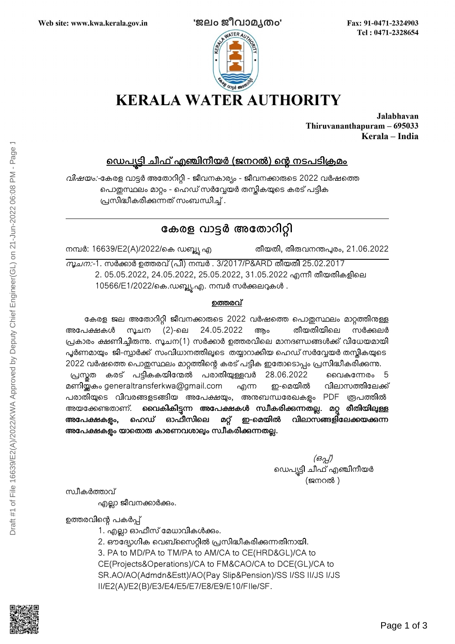Fax: 91-0471-2324903 Tel: 0471-2328654



Jalabhavan Thiruvananthapuram - 695033 Kerala - India

## <u>ഡെപ്യട്ടി ചീഫ് എഞ്ചിനീയർ (ജനറൽ) ന്റെ നടപടിക്രമം</u>

*വിഷയം:-*കേരള വാട്ടർ അതോറിറ്റി - ജീവനകാര്യം - ജീവനക്കാരുടെ 2022 വർഷത്തെ പൊതുസ്ഥലം മാറ്റം - ഹെഡ് സർവ്വേയർ തസ്കികയുടെ കരട് പട്ടിക പ്രസിദ്ധീകരിക്കുന്നത് സംബന്ധിച്ച് .

# കേരള വാട്ടർ അതോറിറ്റി

തീയതി, തിരുവനന്തപുരം, 21.06.2022

നമ്പർ: 16639/E2(A)/2022/കെ ഡബ്ല്യ എ

*സൂചന:*-1. സർക്കാർ ഉത്തരവ് (പി) നമ്പർ . 3/2017/P&ARD തീയതി 25.02.2017 2. 05.05.2022, 24.05.2022, 25.05.2022, 31.05.2022 എന്നീ തീയതികളിലെ 10566/E1/2022/കെ.ഡബ്ലൂ.എ. നമ്പർ സർക്കുലറുകൾ .

### <u>ഉത്തരവ്</u>

കേരള ജല അതോറിറ്റി ജീവനക്കാരുടെ 2022 വർഷത്തെ പൊതുസ്ഥലം മാറ്റത്തിനുള്ള അപേക്ഷകൾ സൂചന (2)-ലെ 24.05.2022 ആം തീയതിയിലെ സർക്കലർ പ്രകാരം ക്ഷണിച്ചിരുന്നു. സൂചന(1) സർക്കാർ ഉത്തരവിലെ മാനദണ്ഡങ്ങൾക്ക് വിധേയമായി പൂർണമായും ജി-സ്പാർക്ക് സംവിധാനത്തിലൂടെ തയ്യാറാക്കിയ ഹെഡ് സർവ്വേയർ തസ്കികയുടെ 2022 വർഷത്തെ പൊതുസ്ഥലം മാറ്റത്തിന്റെ കരട് പട്ടിക ഇതോടൊപ്പം പ്രസിദ്ധീകരിക്കുന്നു. പ്രസ്തത കരട് പട്ടികകയിന്മേൽ പരാതിയുള്ളവർ 28.06.2022 മൈകന്നേരം 5 മണിയ്ക്കം generaltransferkwa@gmail.com എന്ന ഇ-മെയിൽ വിലാസത്തിലേക്ക് പരാതിയുടെ വിവരങ്ങളടങ്ങിയ അപേക്ഷയും, അനുബന്ധരേഖകളം PDF രൂപത്തിൽ അയക്കേണ്ടതാണ്. <mark>വൈകികിട്ടന്ന അപേക്ഷകൾ സ്വീകരിക്കന്നതല്ല. മറ്റ രീതിയില്പള്ള</mark> അപേക്ഷകളം, ഹെഡ് ഓഫീസിലെ മറ്റ് ഇ-മെയിൽ വിലാസങ്ങളിലേക്കയക്കന്ന അപേക്ഷകളം യാതൊരു കാരണവശാലും സ്ഥീകരിക്കുന്നതല്ല.  $\frac{1}{2}$ <br>  $\frac{1}{2}$ <br>  $\frac{1}{2}$ <br>  $\frac{1}{2}$ <br>  $\frac{1}{2}$ <br>  $\frac{1}{2}$ <br>  $\frac{1}{2}$ <br>  $\frac{1}{2}$ <br>  $\frac{1}{2}$ <br>  $\frac{1}{2}$ <br>  $\frac{1}{2}$ <br>  $\frac{1}{2}$ <br>  $\frac{1}{2}$ <br>  $\frac{1}{2}$ <br>  $\frac{1}{2}$ <br>  $\frac{1}{2}$ <br>  $\frac{1}{2}$ <br>  $\frac{1}{2}$ <br>  $\frac{1}{2}$ <br>  $\frac{1}{2}$ <br>

(ഒപ്പ്) ഡെപ്യട്ടി ചീഫ് എഞ്ചിനീയർ (ജനറൽ )

സ്ഥീകർത്താവ്

എല്ലാ ജീവനക്കാർക്കും.

ഉത്തരവിന്റെ പകർപ്പ്

- 1. എല്ലാ ഓഫീസ് മേധാവികൾക്കം.
- 2. ഔദ്യോഗിക വെബ്സൈറ്റിൽ പ്രസിദ്ധീകരിക്കുന്നതിനായി.
- 3. PA to MD/PA to TM/PA to AM/CA to CE(HRD&GL)/CA to
- CE(Projects&Operations)/CA to FM&CAO/CA to DCE(GL)/CA to
- SR.AO/AO(Admdn&Estt)/AO(Pay Slip&Pension)/SS I/SS II/JS I/JS
- 

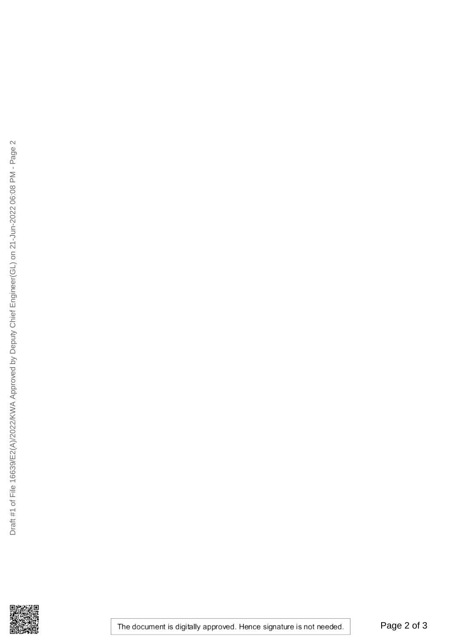